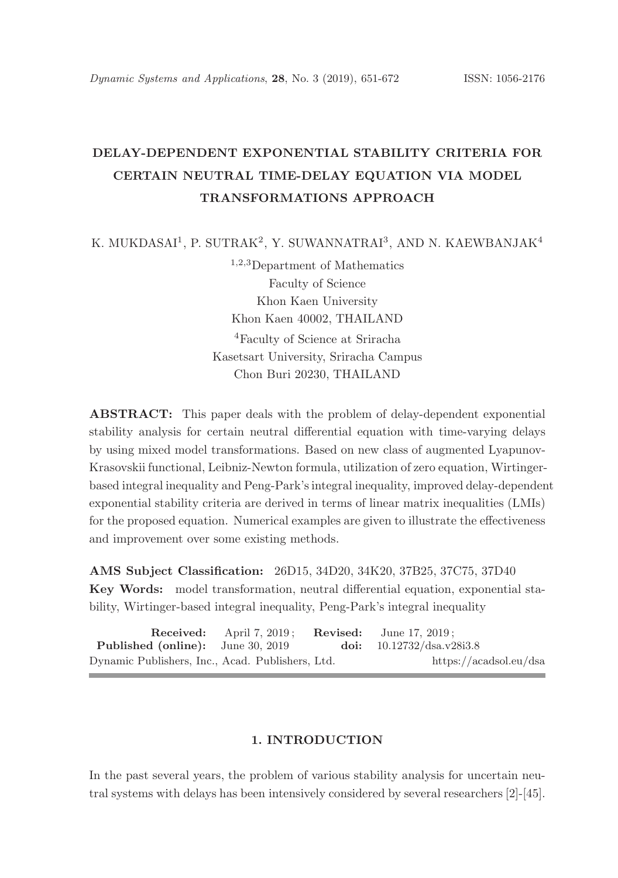# DELAY-DEPENDENT EXPONENTIAL STABILITY CRITERIA FOR CERTAIN NEUTRAL TIME-DELAY EQUATION VIA MODEL TRANSFORMATIONS APPROACH

K. MUKDASAI $^1$ , P. SUTRAK $^2$ , Y. SUWANNATRAI $^3$ , AND N. KAEWBANJAK $^4$ 

<sup>1</sup>,2,<sup>3</sup>Department of Mathematics Faculty of Science Khon Kaen University Khon Kaen 40002, THAILAND <sup>4</sup>Faculty of Science at Sriracha Kasetsart University, Sriracha Campus Chon Buri 20230, THAILAND

ABSTRACT: This paper deals with the problem of delay-dependent exponential stability analysis for certain neutral differential equation with time-varying delays by using mixed model transformations. Based on new class of augmented Lyapunov-Krasovskii functional, Leibniz-Newton formula, utilization of zero equation, Wirtingerbased integral inequality and Peng-Park's integral inequality, improved delay-dependent exponential stability criteria are derived in terms of linear matrix inequalities (LMIs) for the proposed equation. Numerical examples are given to illustrate the effectiveness and improvement over some existing methods.

AMS Subject Classification: 26D15, 34D20, 34K20, 37B25, 37C75, 37D40 Key Words: model transformation, neutral differential equation, exponential stability, Wirtinger-based integral inequality, Peng-Park's integral inequality

|                                                  | <b>Received:</b> April $7, 2019$ ; | <b>Revised:</b> June 17, 2019: |
|--------------------------------------------------|------------------------------------|--------------------------------|
| <b>Published (online):</b> June 30, 2019         |                                    | doi: $10.12732/dsa.v28i3.8$    |
| Dynamic Publishers, Inc., Acad. Publishers, Ltd. |                                    | https://acadsol.eu/dsa         |

## 1. INTRODUCTION

In the past several years, the problem of various stability analysis for uncertain neutral systems with delays has been intensively considered by several researchers [2]-[45].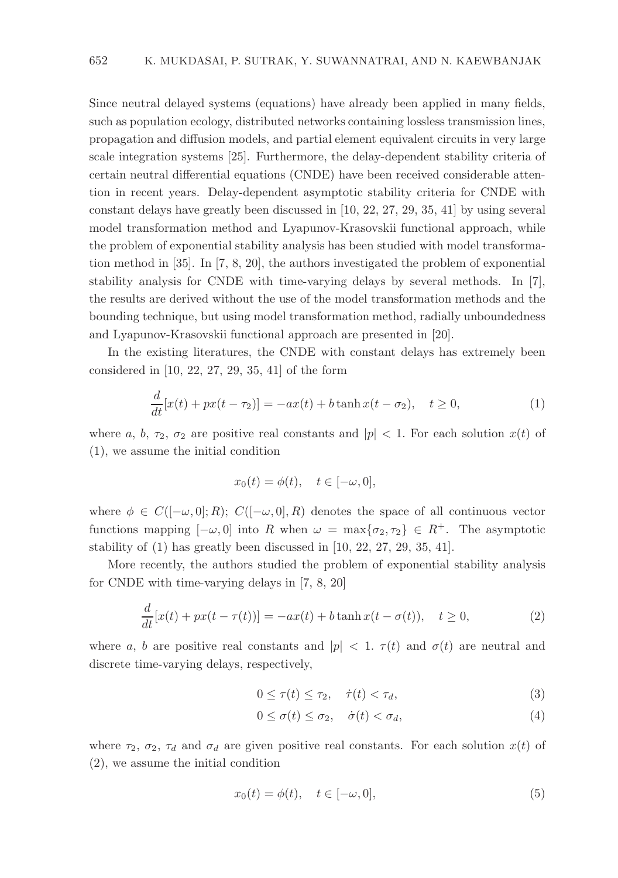Since neutral delayed systems (equations) have already been applied in many fields, such as population ecology, distributed networks containing lossless transmission lines, propagation and diffusion models, and partial element equivalent circuits in very large scale integration systems [25]. Furthermore, the delay-dependent stability criteria of certain neutral differential equations (CNDE) have been received considerable attention in recent years. Delay-dependent asymptotic stability criteria for CNDE with constant delays have greatly been discussed in [10, 22, 27, 29, 35, 41] by using several model transformation method and Lyapunov-Krasovskii functional approach, while the problem of exponential stability analysis has been studied with model transformation method in [35]. In [7, 8, 20], the authors investigated the problem of exponential stability analysis for CNDE with time-varying delays by several methods. In [7], the results are derived without the use of the model transformation methods and the bounding technique, but using model transformation method, radially unboundedness and Lyapunov-Krasovskii functional approach are presented in [20].

In the existing literatures, the CNDE with constant delays has extremely been considered in [10, 22, 27, 29, 35, 41] of the form

$$
\frac{d}{dt}[x(t) + px(t - \tau_2)] = -ax(t) + b\tanh x(t - \sigma_2), \quad t \ge 0,
$$
\n(1)

where a, b,  $\tau_2$ ,  $\sigma_2$  are positive real constants and  $|p|$  < 1. For each solution  $x(t)$  of (1), we assume the initial condition

$$
x_0(t) = \phi(t), \quad t \in [-\omega, 0],
$$

where  $\phi \in C([-\omega, 0]; R)$ ;  $C([-\omega, 0], R)$  denotes the space of all continuous vector functions mapping  $[-\omega, 0]$  into R when  $\omega = \max\{\sigma_2, \tau_2\} \in R^+$ . The asymptotic stability of (1) has greatly been discussed in [10, 22, 27, 29, 35, 41].

More recently, the authors studied the problem of exponential stability analysis for CNDE with time-varying delays in [7, 8, 20]

$$
\frac{d}{dt}[x(t) + px(t - \tau(t))] = -ax(t) + b\tanh x(t - \sigma(t)), \quad t \ge 0,
$$
\n(2)

where a, b are positive real constants and  $|p| < 1$ .  $\tau(t)$  and  $\sigma(t)$  are neutral and discrete time-varying delays, respectively,

$$
0 \le \tau(t) \le \tau_2, \quad \dot{\tau}(t) < \tau_d,\tag{3}
$$

$$
0 \le \sigma(t) \le \sigma_2, \quad \dot{\sigma}(t) < \sigma_d,\tag{4}
$$

where  $\tau_2$ ,  $\sigma_2$ ,  $\tau_d$  and  $\sigma_d$  are given positive real constants. For each solution  $x(t)$  of (2), we assume the initial condition

$$
x_0(t) = \phi(t), \quad t \in [-\omega, 0], \tag{5}
$$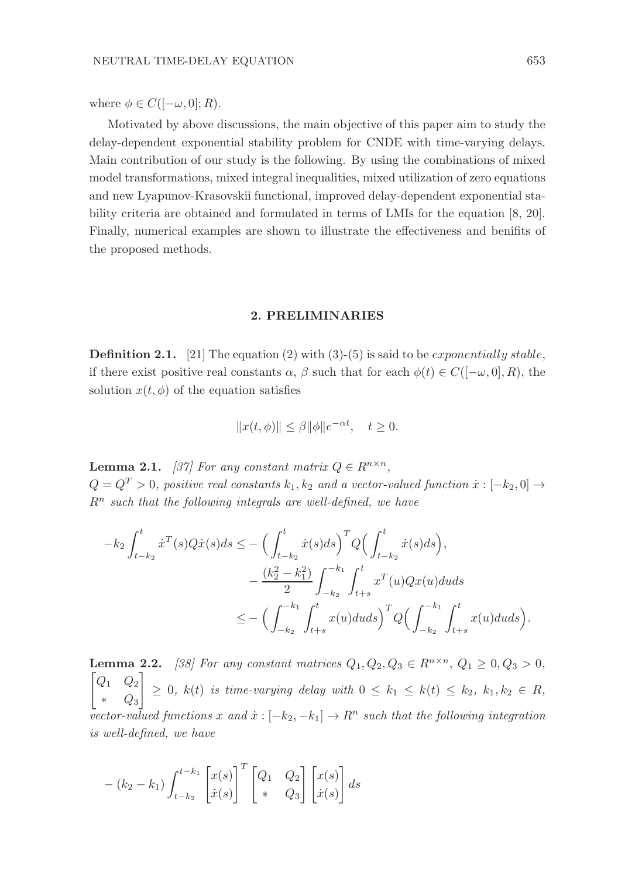where  $\phi \in C([-\omega, 0]; R)$ .

Motivated by above discussions, the main objective of this paper aim to study the delay-dependent exponential stability problem for CNDE with time-varying delays. Main contribution of our study is the following. By using the combinations of mixed model transformations, mixed integral inequalities, mixed utilization of zero equations and new Lyapunov-Krasovskii functional, improved delay-dependent exponential stability criteria are obtained and formulated in terms of LMIs for the equation [8, 20]. Finally, numerical examples are shown to illustrate the effectiveness and benifits of the proposed methods.

## 2. PRELIMINARIES

**Definition 2.1.** [21] The equation (2) with (3)-(5) is said to be *exponentially stable*. if there exist positive real constants  $\alpha$ ,  $\beta$  such that for each  $\phi(t) \in C([-\omega, 0], R)$ , the solution  $x(t, \phi)$  of the equation satisfies

$$
||x(t,\phi)|| \le \beta ||\phi||e^{-\alpha t}, \quad t \ge 0.
$$

**Lemma 2.1.** [37] For any constant matrix  $Q \in R^{n \times n}$ ,  $Q = Q^T > 0$ , positive real constants  $k_1, k_2$  and a vector-valued function  $\dot{x} : [-k_2, 0] \rightarrow$  $R<sup>n</sup>$  such that the following integrals are well-defined, we have

$$
-k_2 \int_{t-k_2}^t \dot{x}^T(s)Q\dot{x}(s)ds \le -\Big(\int_{t-k_2}^t \dot{x}(s)ds\Big)^T Q \Big(\int_{t-k_2}^t \dot{x}(s)ds\Big),
$$
  

$$
-\frac{(k_2^2 - k_1^2)}{2} \int_{-k_2}^{-k_1} \int_{t+s}^t x^T(u)Qx(u)duds
$$
  

$$
\le -\Big(\int_{-k_2}^{-k_1} \int_{t+s}^t x(u)duds\Big)^T Q \Big(\int_{-k_2}^{-k_1} \int_{t+s}^t x(u)duds\Big).
$$

**Lemma 2.2.** [38] For any constant matrices  $Q_1, Q_2, Q_3 \in R^{n \times n}, Q_1 \ge 0, Q_3 > 0$ ,  $Q_1$   $Q_2$ ∗ Q<sup>3</sup> 1  $\geq$  0,  $k(t)$  is time-varying delay with  $0 \leq k_1 \leq k(t) \leq k_2, k_1, k_2 \in R$ , vector-valued functions x and  $\dot{x}:[-k_2,-k_1] \to \mathbb{R}^n$  such that the following integration is well-defined, we have

$$
-(k_2 - k_1) \int_{t-k_2}^{t-k_1} \begin{bmatrix} x(s) \\ \dot{x}(s) \end{bmatrix}^T \begin{bmatrix} Q_1 & Q_2 \\ * & Q_3 \end{bmatrix} \begin{bmatrix} x(s) \\ \dot{x}(s) \end{bmatrix} ds
$$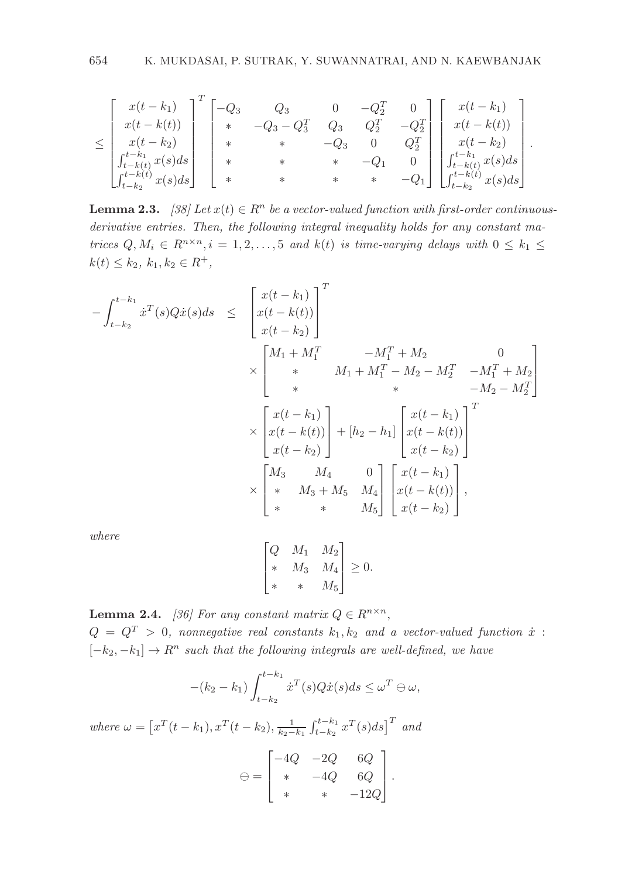$$
\leq \begin{bmatrix} x(t-k_1) \\ x(t-k(t)) \\ x(t-k_2) \\ \int_{t-k_1}^{t-k_1} x(s) ds \\ \int_{t-k_2}^{t-k_1} x(s) ds \end{bmatrix} \begin{bmatrix} -Q_3 & Q_3 & 0 & -Q_2^T & 0 \\ * & -Q_3 - Q_3^T & Q_3 & Q_2^T & -Q_2^T \\ * & * & * & -Q_3 & 0 & Q_2^T \\ * & * & * & * & -Q_1 & 0 \\ * & * & * & * & -Q_1 & 0 \\ * & * & * & * & -Q_1 & 0 \end{bmatrix} \begin{bmatrix} x(t-k_1) \\ x(t-k_1) \\ x(t-k_2) \\ \int_{t-k_1}^{t-k_1} x(s) ds \\ \int_{t-k_2}^{t-k_2} x(s) ds \end{bmatrix}.
$$

**Lemma 2.3.** [38] Let  $x(t) \in \mathbb{R}^n$  be a vector-valued function with first-order continuousderivative entries. Then, the following integral inequality holds for any constant matrices  $Q, M_i \in R^{n \times n}, i = 1, 2, ..., 5$  and  $k(t)$  is time-varying delays with  $0 \leq k_1 \leq$  $k(t) \leq k_2, k_1, k_2 \in R^+,$ 

$$
-\int_{t-k_2}^{t-k_1} x^T(s)Q\dot{x}(s)ds \leq \begin{bmatrix} x(t-k_1) \\ x(t-k_2) \end{bmatrix}^T
$$
  
\n
$$
\times \begin{bmatrix} M_1 + M_1^T & -M_1^T + M_2 & 0 \\ * & M_1 + M_1^T - M_2 - M_2^T & -M_1^T + M_2 \\ * & * & -M_2 - M_2^T \end{bmatrix}
$$
  
\n
$$
\times \begin{bmatrix} x(t-k_1) \\ x(t-k(t)) \\ x(t-k_2) \end{bmatrix} + [h_2 - h_1] \begin{bmatrix} x(t-k_1) \\ x(t-k(t)) \\ x(t-k_2) \end{bmatrix}^T
$$
  
\n
$$
\times \begin{bmatrix} M_3 & M_4 & 0 \\ * & M_3 + M_5 & M_4 \\ * & * & M_5 \end{bmatrix} \begin{bmatrix} x(t-k_1) \\ x(t-k_1) \\ x(t-k_2) \end{bmatrix},
$$

where

$$
\begin{bmatrix} Q & M_1 & M_2 \\ * & M_3 & M_4 \\ * & * & M_5 \end{bmatrix} \geq 0.
$$

**Lemma 2.4.** [36] For any constant matrix  $Q \in R^{n \times n}$ ,  $Q = Q^T > 0$ , nonnegative real constants  $k_1, k_2$  and a vector-valued function  $\dot{x}$ :  $[-k_2, -k_1] \rightarrow R^n$  such that the following integrals are well-defined, we have

$$
-(k_2 - k_1) \int_{t-k_2}^{t-k_1} \dot{x}^T(s) Q \dot{x}(s) ds \le \omega^T \ominus \omega,
$$

where  $\omega = \left[x^T(t - k_1), x^T(t - k_2), \frac{1}{k_2 - k_1} \int_{t - k_2}^{t - k_1} x^T(s) ds\right]^T$  and

$$
\Theta = \begin{bmatrix} -4Q & -2Q & 6Q \\ * & -4Q & 6Q \\ * & * & -12Q \end{bmatrix}.
$$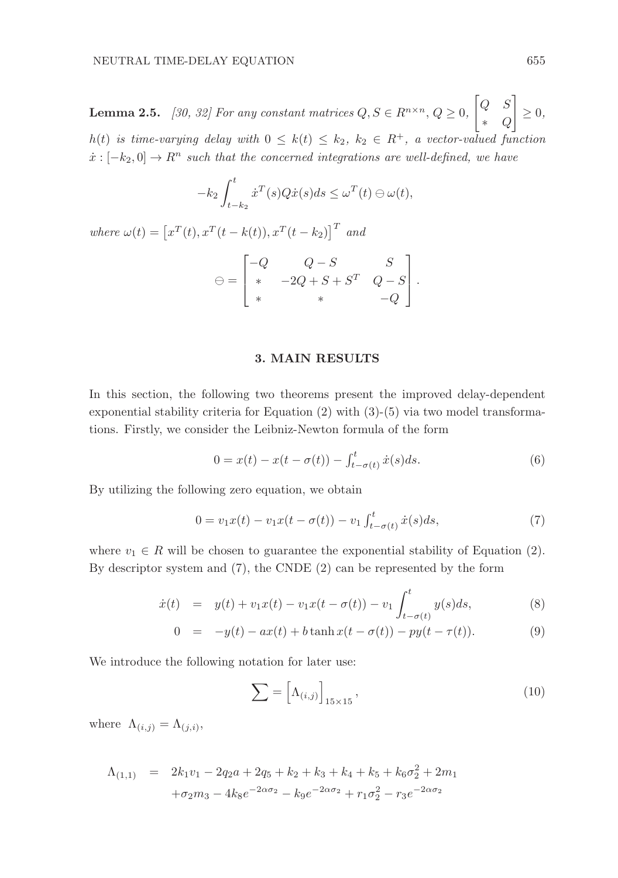**Lemma 2.5.** [30, 32] For any constant matrices  $Q, S \in R^{n \times n}, Q \ge 0$ ,  $\begin{bmatrix} Q & S \end{bmatrix}$ ∗ Q  $\overline{\phantom{a}}$  $\geq 0,$ h(t) is time-varying delay with  $0 \leq k(t) \leq k_2$ ,  $k_2 \in R^+$ , a vector-valued function  $\dot{x}$ : [−k<sub>2</sub>, 0]  $\rightarrow$  R<sup>n</sup> such that the concerned integrations are well-defined, we have

$$
-k_2 \int_{t-k_2}^t \dot{x}^T(s)Q\dot{x}(s)ds \le \omega^T(t) \ominus \omega(t),
$$

where  $\omega(t) = \left[x^T(t), x^T(t - k(t)), x^T(t - k_2)\right]^T$  and

$$
\Theta = \begin{bmatrix} -Q & Q-S & S \\ * & -2Q+S+S^T & Q-S \\ * & * & -Q \end{bmatrix}.
$$

### 3. MAIN RESULTS

In this section, the following two theorems present the improved delay-dependent exponential stability criteria for Equation (2) with (3)-(5) via two model transformations. Firstly, we consider the Leibniz-Newton formula of the form

$$
0 = x(t) - x(t - \sigma(t)) - \int_{t - \sigma(t)}^{t} \dot{x}(s)ds.
$$
 (6)

By utilizing the following zero equation, we obtain

$$
0 = v_1 x(t) - v_1 x(t - \sigma(t)) - v_1 \int_{t - \sigma(t)}^{t} \dot{x}(s) ds,
$$
\n(7)

where  $v_1 \in R$  will be chosen to guarantee the exponential stability of Equation (2). By descriptor system and (7), the CNDE (2) can be represented by the form

$$
\dot{x}(t) = y(t) + v_1 x(t) - v_1 x(t - \sigma(t)) - v_1 \int_{t - \sigma(t)}^{t} y(s) ds,
$$
\n(8)

$$
0 = -y(t) - ax(t) + b \tanh x(t - \sigma(t)) - py(t - \tau(t)). \tag{9}
$$

We introduce the following notation for later use:

$$
\sum = \left[ \Lambda_{(i,j)} \right]_{15 \times 15},\tag{10}
$$

where  $\Lambda_{(i,j)} = \Lambda_{(j,i)},$ 

$$
\Lambda_{(1,1)} = 2k_1v_1 - 2q_2a + 2q_5 + k_2 + k_3 + k_4 + k_5 + k_6\sigma_2^2 + 2m_1
$$
  
+ $\sigma_2m_3 - 4k_8e^{-2\alpha\sigma_2} - k_9e^{-2\alpha\sigma_2} + r_1\sigma_2^2 - r_3e^{-2\alpha\sigma_2}$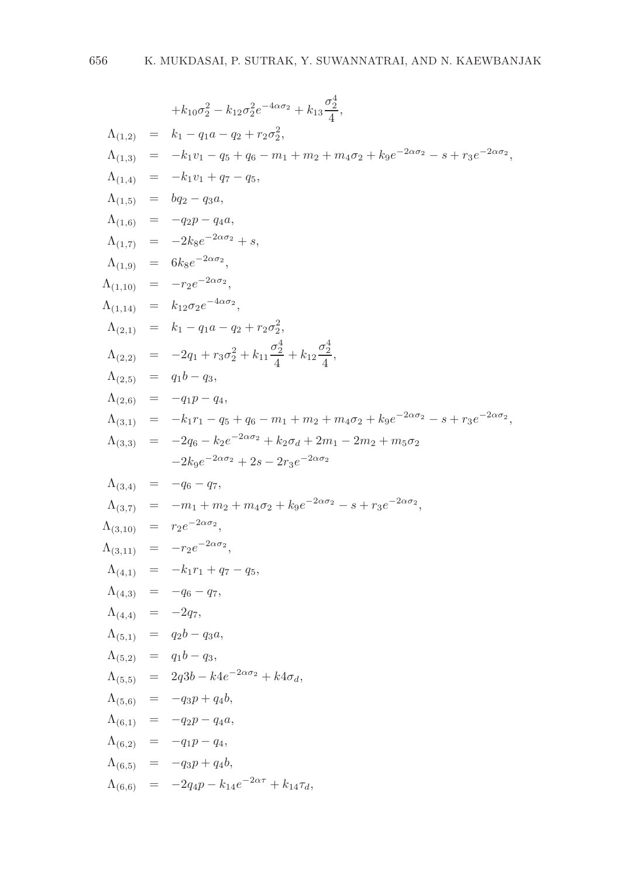$$
+k_{10}\sigma_{2}^{2} - k_{12}\sigma_{2}^{2}e^{-4\alpha\sigma_{2}} + k_{13}\frac{\sigma_{2}^{4}}{4},
$$
  
\n
$$
\Lambda_{(1,2)} = k_{1} - q_{1}a - q_{2} + r_{2}\sigma_{2}^{2},
$$
  
\n
$$
\Lambda_{(1,3)} = -k_{1}v_{1} - q_{5} + q_{6} - m_{1} + m_{2} + m_{4}\sigma_{2} + k_{9}e^{-2\alpha\sigma_{2}} - s + r_{3}e^{-2\alpha\sigma_{2}},
$$
  
\n
$$
\Lambda_{(1,4)} = -k_{1}v_{1} + q_{7} - q_{5},
$$
  
\n
$$
\Lambda_{(1,5)} = bq_{2} - q_{3}a,
$$
  
\n
$$
\Lambda_{(1,6)} = -q_{2}p - q_{4}a,
$$
  
\n
$$
\Lambda_{(1,7)} = -2k_{8}e^{-2\alpha\sigma_{2}},
$$
  
\n
$$
\Lambda_{(1,9)} = 6k_{8}e^{-2\alpha\sigma_{2}},
$$
  
\n
$$
\Lambda_{(1,1)} = k_{1} - q_{1}a - q_{2} + r_{2}\sigma_{2}^{2},
$$
  
\n
$$
\Lambda_{(2,1)} = k_{1} - q_{1}a - q_{2} + r_{2}\sigma_{2}^{2},
$$
  
\n
$$
\Lambda_{(2,2)} = -2q_{1} + r_{3}\sigma_{2}^{2} + k_{11}\frac{\sigma_{2}^{4}}{4} + k_{12}\frac{\sigma_{2}^{4}}{4},
$$
  
\n
$$
\Lambda_{(2,5)} = q_{1}b - q_{3},
$$
  
\n
$$
\Lambda_{(3,1)} = -k_{1}r_{1} - q_{5} + q_{6} - m_{1} + m_{2} + m_{4}\sigma_{2} + k_{9}e^{-2\alpha\sigma_{2}} - s + r_{3}e^{-2\alpha\sigma_{3}},
$$
  
\n
$$
\Lambda_{(3,3)} = -2q_{6} - k_{2}\sigma_{2} + k_{2}\sigma_{d} + 2m_{1} - 2m_{2} + m_{5}\sigma_{2} - 2k_{9} - 2k_{9} - 2k_{9} - 2k_{9} - 2k_{9} - 2k
$$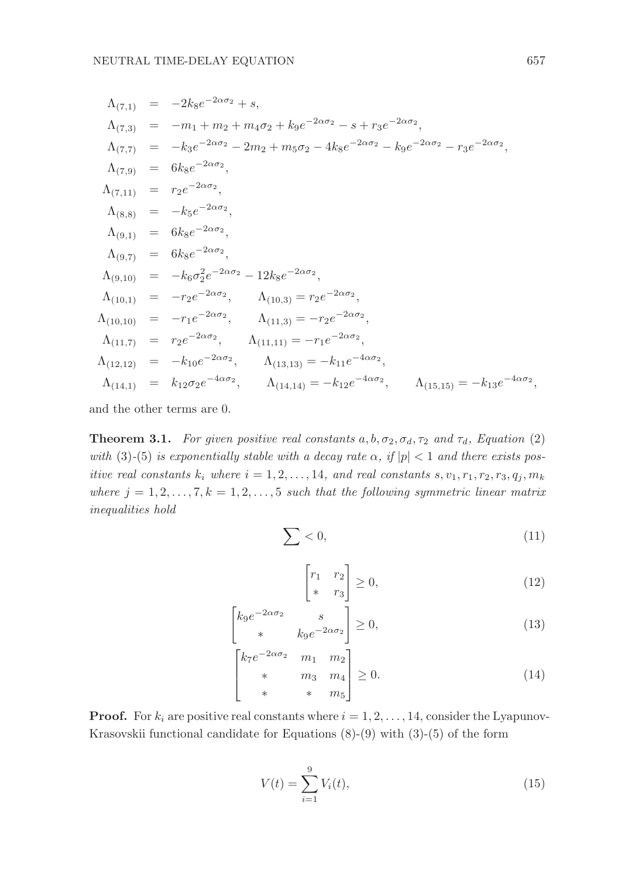$$
\Lambda_{(7,1)} = -2k_8e^{-2\alpha\sigma_2} + s,
$$
\n
$$
\Lambda_{(7,3)} = -m_1 + m_2 + m_4\sigma_2 + k_9e^{-2\alpha\sigma_2} - s + r_3e^{-2\alpha\sigma_2},
$$
\n
$$
\Lambda_{(7,7)} = -k_3e^{-2\alpha\sigma_2} - 2m_2 + m_5\sigma_2 - 4k_8e^{-2\alpha\sigma_2} - k_9e^{-2\alpha\sigma_2} - r_3e^{-2\alpha\sigma_2},
$$
\n
$$
\Lambda_{(7,1)} = 6k_8e^{-2\alpha\sigma_2},
$$
\n
$$
\Lambda_{(8,8)} = -k_5e^{-2\alpha\sigma_2},
$$
\n
$$
\Lambda_{(9,1)} = 6k_8e^{-2\alpha\sigma_2},
$$
\n
$$
\Lambda_{(9,1)} = 6k_8e^{-2\alpha\sigma_2},
$$
\n
$$
\Lambda_{(9,10)} = -k_6\sigma_2^2e^{-2\alpha\sigma_2} - 12k_8e^{-2\alpha\sigma_2},
$$
\n
$$
\Lambda_{(10,10)} = -r_2e^{-2\alpha\sigma_2},
$$
\n
$$
\Lambda_{(10,10)} = -r_1e^{-2\alpha\sigma_2},
$$
\n
$$
\Lambda_{(11,3)} = -r_2e^{-2\alpha\sigma_2},
$$
\n
$$
\Lambda_{(11,3)} = -r_2e^{-2\alpha\sigma_2},
$$
\n
$$
\Lambda_{(11,3)} = -r_2e^{-2\alpha\sigma_2},
$$
\n
$$
\Lambda_{(11,17)} = r_2e^{-2\alpha\sigma_2},
$$
\n
$$
\Lambda_{(11,11)} = -r_1e^{-2\alpha\sigma_2},
$$
\n
$$
\Lambda_{(12,12)} = -k_{10}e^{-2\alpha\sigma_2},
$$
\n
$$
\Lambda_{(13,13)} = -k_{11}e^{-4\alpha\sigma_2},
$$
\n
$$
\Lambda_{(14,11)} = k_{12}\sigma_2e^{-4\alpha\sigma_2},
$$
\n
$$
\Lambda_{(14,14)} = -k_{12}e^{-4\alpha\sigma_2},
$$
\n
$$
\Lambda_{(
$$

and the other terms are 0.

**Theorem 3.1.** For given positive real constants  $a, b, \sigma_2, \sigma_d, \tau_2$  and  $\tau_d$ , Equation (2) with (3)-(5) is exponentially stable with a decay rate  $\alpha$ , if  $|p| < 1$  and there exists positive real constants  $k_i$  where  $i = 1, 2, \ldots, 14$ , and real constants  $s, v_1, r_1, r_2, r_3, q_i, m_k$ where  $j = 1, 2, ..., 7, k = 1, 2, ..., 5$  such that the following symmetric linear matrix inequalities hold

$$
\sum < 0,\tag{11}
$$

$$
\begin{bmatrix} r_1 & r_2 \\ * & r_3 \end{bmatrix} \ge 0,
$$
\n(12)

$$
\begin{bmatrix} k_9 e^{-2\alpha \sigma_2} & s \\ * & k_9 e^{-2\alpha \sigma_2} \end{bmatrix} \ge 0,\tag{13}
$$

$$
\begin{bmatrix} k_7 e^{-2\alpha \sigma_2} & m_1 & m_2 \\ * & m_3 & m_4 \\ * & * & m_5 \end{bmatrix} \ge 0.
$$
 (14)

**Proof.** For  $k_i$  are positive real constants where  $i = 1, 2, \ldots, 14$ , consider the Lyapunov-Krasovskii functional candidate for Equations (8)-(9) with (3)-(5) of the form

$$
V(t) = \sum_{i=1}^{9} V_i(t),
$$
\n(15)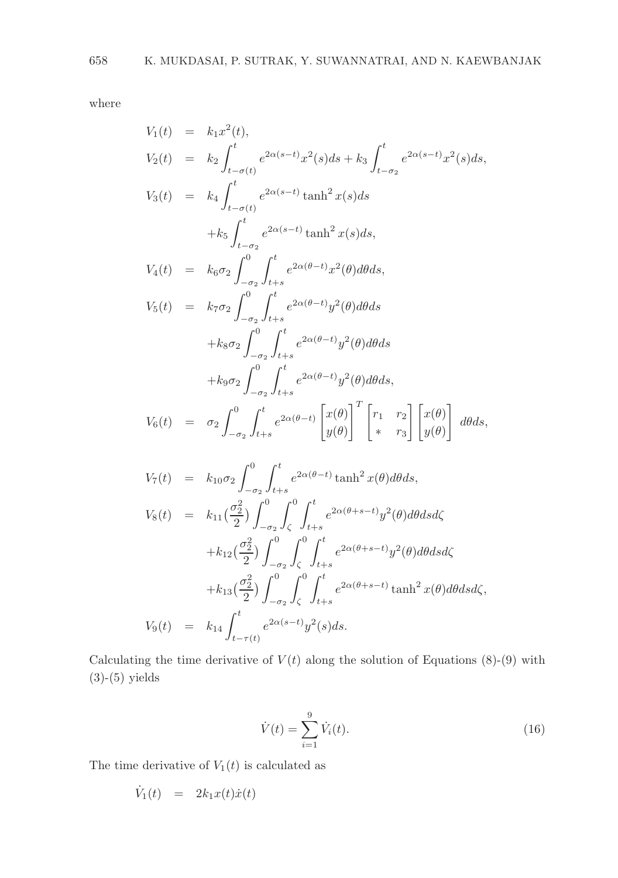where

$$
V_1(t) = k_1 x^2(t),
$$
  
\n
$$
V_2(t) = k_2 \int_{t-\sigma(t)}^t e^{2\alpha(s-t)} x^2(s) ds + k_3 \int_{t-\sigma_2}^t e^{2\alpha(s-t)} x^2(s) ds,
$$
  
\n
$$
V_3(t) = k_4 \int_{t-\sigma(t)}^t e^{2\alpha(s-t)} \tanh^2 x(s) ds
$$
  
\n
$$
+ k_5 \int_{t-\sigma_2}^t e^{2\alpha(s-t)} \tanh^2 x(s) ds,
$$
  
\n
$$
V_4(t) = k_6 \sigma_2 \int_{-\sigma_2}^0 \int_{t+s}^t e^{2\alpha(\theta-t)} x^2(\theta) d\theta ds,
$$
  
\n
$$
V_5(t) = k_7 \sigma_2 \int_{-\sigma_2}^0 \int_{t+s}^t e^{2\alpha(\theta-t)} y^2(\theta) d\theta ds
$$
  
\n
$$
+ k_8 \sigma_2 \int_{-\sigma_2}^0 \int_{t+s}^t e^{2\alpha(\theta-t)} y^2(\theta) d\theta ds,
$$
  
\n
$$
+ k_9 \sigma_2 \int_{-\sigma_2}^0 \int_{t+s}^t e^{2\alpha(\theta-t)} y^2(\theta) d\theta ds,
$$
  
\n
$$
V_6(t) = \sigma_2 \int_{-\sigma_2}^0 \int_{t+s}^t e^{2\alpha(\theta-t)} \begin{bmatrix} x(\theta) \\ y(\theta) \end{bmatrix}^T \begin{bmatrix} r_1 & r_2 \\ r & r_3 \end{bmatrix} \begin{bmatrix} x(\theta) \\ y(\theta) \end{bmatrix} d\theta ds,
$$
  
\n
$$
V_7(t) = k_{10} \sigma_2 \int_{-\sigma_3}^0 \int_{t+s}^t e^{2\alpha(\theta-t)} \tanh^2 x(\theta) d\theta ds,
$$

$$
J_{-\sigma_2} J_{t+s}
$$
  
\n
$$
V_8(t) = k_{11} \left(\frac{\sigma_2^2}{2}\right) \int_{-\sigma_2}^0 \int_{\zeta}^0 \int_{t+s}^t e^{2\alpha(\theta+s-t)} y^2(\theta) d\theta ds d\zeta
$$
  
\n
$$
+ k_{12} \left(\frac{\sigma_2^2}{2}\right) \int_{-\sigma_2}^0 \int_{\zeta}^0 \int_{t+s}^t e^{2\alpha(\theta+s-t)} y^2(\theta) d\theta ds d\zeta
$$
  
\n
$$
+ k_{13} \left(\frac{\sigma_2^2}{2}\right) \int_{-\sigma_2}^0 \int_{\zeta}^0 \int_{t+s}^t e^{2\alpha(\theta+s-t)} \tanh^2 x(\theta) d\theta ds d\zeta,
$$
  
\n
$$
V_9(t) = k_{14} \int_{t-\tau(t)}^t e^{2\alpha(s-t)} y^2(s) ds.
$$

Calculating the time derivative of  $V(t)$  along the solution of Equations (8)-(9) with (3)-(5) yields

$$
\dot{V}(t) = \sum_{i=1}^{9} \dot{V}_i(t).
$$
\n(16)

The time derivative of  $V_1(t)$  is calculated as

$$
\dot{V}_1(t) = 2k_1x(t)\dot{x}(t)
$$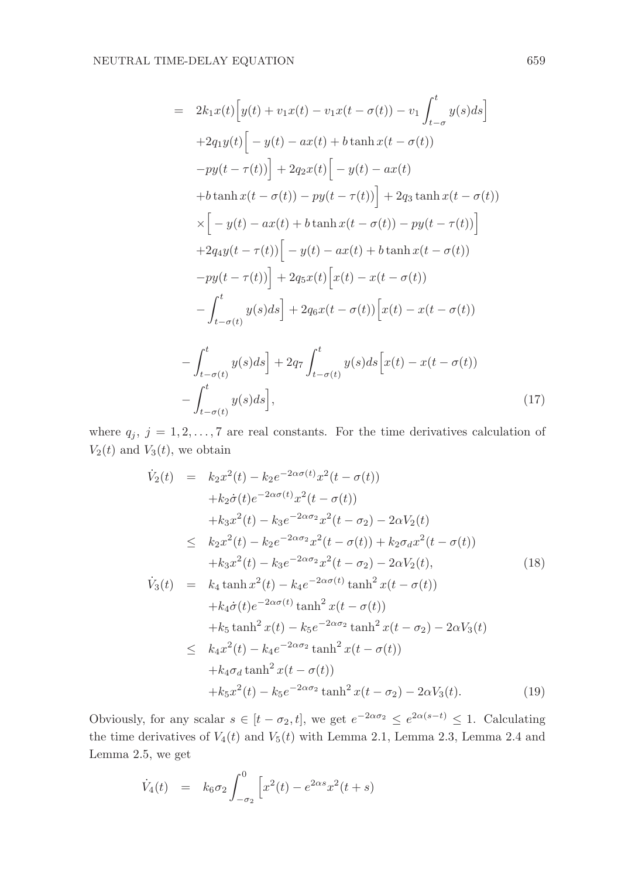$$
= 2k_1x(t)\Big[y(t) + v_1x(t) - v_1x(t - \sigma(t)) - v_1\int_{t-\sigma}^t y(s)ds\Big]
$$
  
+2q\_1y(t)\Big[-y(t) - ax(t) + b\tanh x(t - \sigma(t))  
-py(t - \tau(t))\Big] + 2q\_2x(t)\Big[-y(t) - ax(t)  
+b\tanh x(t - \sigma(t)) - py(t - \tau(t))\Big] + 2q\_3\tanh x(t - \sigma(t))  
\times\Big[-y(t) - ax(t) + b\tanh x(t - \sigma(t)) - py(t - \tau(t))\Big]  
+2q\_4y(t - \tau(t))\Big[-y(t) - ax(t) + b\tanh x(t - \sigma(t))  
-py(t - \tau(t))\Big] + 2q\_5x(t)\Big[x(t) - x(t - \sigma(t))  
- \int\_{t-\sigma(t)}^t y(s)ds\Big] + 2q\_6x(t - \sigma(t))\Big[x(t) - x(t - \sigma(t))  
- \int\_{t-\sigma(t)}^t y(s)ds\Big] + 2q\_7\int\_{t-\sigma(t)}^t y(s)ds\Big[x(t) - x(t - \sigma(t))  
- \int\_{t-\sigma(t)}^t y(s)ds\Big], \qquad (17)

where  $q_j$ ,  $j = 1, 2, ..., 7$  are real constants. For the time derivatives calculation of  $V_2(t)$  and  $V_3(t)$ , we obtain

$$
\dot{V}_2(t) = k_2 x^2(t) - k_2 e^{-2\alpha\sigma(t)} x^2(t - \sigma(t)) \n+ k_2 \dot{\sigma}(t) e^{-2\alpha\sigma(t)} x^2(t - \sigma(t)) \n+ k_3 x^2(t) - k_3 e^{-2\alpha\sigma_2} x^2(t - \sigma_2) - 2\alpha V_2(t) \n\leq k_2 x^2(t) - k_2 e^{-2\alpha\sigma_2} x^2(t - \sigma(t)) + k_2 \sigma_d x^2(t - \sigma(t)) \n+ k_3 x^2(t) - k_3 e^{-2\alpha\sigma_2} x^2(t - \sigma_2) - 2\alpha V_2(t), \n\dot{V}_3(t) = k_4 \tanh x^2(t) - k_4 e^{-2\alpha\sigma(t)} \tanh^2 x(t - \sigma(t)) \n+ k_4 \dot{\sigma}(t) e^{-2\alpha\sigma(t)} \tanh^2 x(t - \sigma(t)) \n+ k_5 \tanh^2 x(t) - k_5 e^{-2\alpha\sigma_2} \tanh^2 x(t - \sigma_2) - 2\alpha V_3(t) \n\leq k_4 x^2(t) - k_4 e^{-2\alpha\sigma_2} \tanh^2 x(t - \sigma(t)) \n+ k_4 \sigma_d \tanh^2 x(t - \sigma(t)) \n+ k_5 x^2(t) - k_5 e^{-2\alpha\sigma_2} \tanh^2 x(t - \sigma_2) - 2\alpha V_3(t).
$$
\n(19)

Obviously, for any scalar  $s \in [t - \sigma_2, t]$ , we get  $e^{-2\alpha\sigma_2} \leq e^{2\alpha(s-t)} \leq 1$ . Calculating the time derivatives of  $V_4(t)$  and  $V_5(t)$  with Lemma 2.1, Lemma 2.3, Lemma 2.4 and Lemma 2.5, we get

$$
\dot{V}_4(t) = k_6 \sigma_2 \int_{-\sigma_2}^{0} \left[ x^2(t) - e^{2\alpha s} x^2(t+s) \right]
$$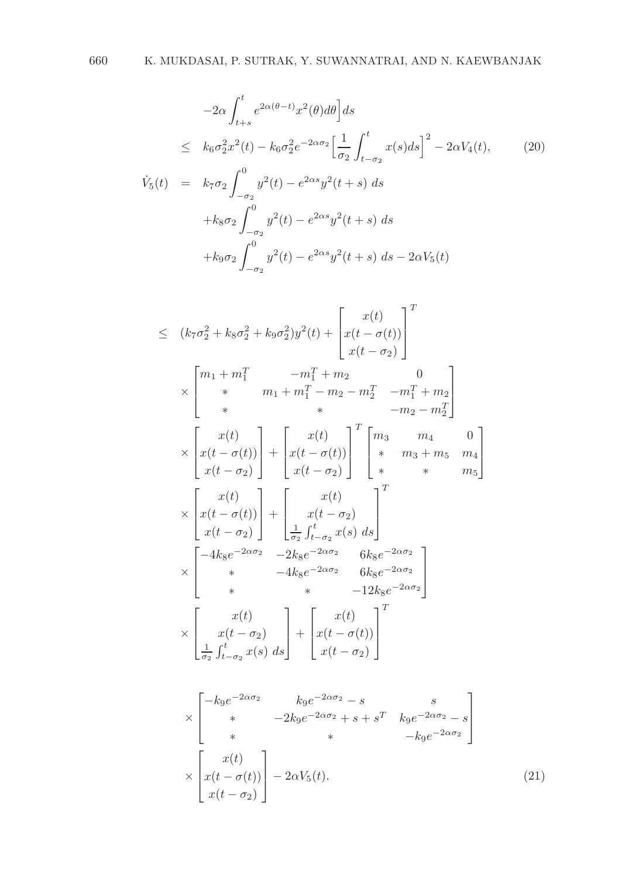$$
-2\alpha \int_{t+s}^{t} e^{2\alpha(\theta-t)} x^2(\theta) d\theta \, ds
$$
  
\n
$$
\leq k_6 \sigma_2^2 x^2(t) - k_6 \sigma_2^2 e^{-2\alpha \sigma_2} \left[ \frac{1}{\sigma_2} \int_{t-\sigma_2}^{t} x(s) ds \right]^2 - 2\alpha V_4(t), \qquad (20)
$$
  
\n
$$
\dot{V}_5(t) = k_7 \sigma_2 \int_{-\sigma_2}^{0} y^2(t) - e^{2\alpha s} y^2(t+s) ds
$$
  
\n
$$
+ k_8 \sigma_2 \int_{-\sigma_2}^{0} y^2(t) - e^{2\alpha s} y^2(t+s) ds
$$

$$
+k_9\sigma_2\int_{-\sigma_2}^{0} y^2(t) - e^{2\alpha s}y^2(t+s) ds - 2\alpha V_5(t)
$$

$$
\leq (k_7\sigma_2^2 + k_8\sigma_2^2 + k_9\sigma_2^2)y^2(t) + \begin{bmatrix} x(t) \\ x(t - \sigma(t)) \\ x(t - \sigma_2) \end{bmatrix}^T
$$
  
\n
$$
\times \begin{bmatrix} m_1 + m_1^T & -m_1^T + m_2 & 0 \\ * & m_1 + m_1^T - m_2 - m_2^T & -m_1^T + m_2 \\ * & * & -m_2 - m_2^T \end{bmatrix}
$$
  
\n
$$
\times \begin{bmatrix} x(t) \\ x(t - \sigma(t)) \\ x(t - \sigma_2) \end{bmatrix} + \begin{bmatrix} x(t) \\ x(t - \sigma(t)) \\ x(t - \sigma_2) \end{bmatrix}^T \begin{bmatrix} m_3 & m_4 & 0 \\ * & m_3 + m_5 & m_4 \\ * & * & m_5 \end{bmatrix}
$$
  
\n
$$
\times \begin{bmatrix} x(t) \\ x(t - \sigma(t)) \\ x(t - \sigma_2) \end{bmatrix} + \begin{bmatrix} x(t) \\ x(t - \sigma_2) \\ \frac{1}{\sigma_2} \int_{t - \sigma_2}^t x(s) ds \end{bmatrix}^T
$$
  
\n
$$
\times \begin{bmatrix} -4k_8e^{-2\alpha\sigma_2} & -2k_8e^{-2\alpha\sigma_2} & 6k_8e^{-2\alpha\sigma_2} \\ * & * & -12k_8e^{-2\alpha\sigma_2} \\ * & * & -12k_8e^{-2\alpha\sigma_2} \end{bmatrix}
$$
  
\n
$$
\times \begin{bmatrix} x(t) \\ x(t - \sigma_2) \\ \frac{1}{\sigma_2} \int_{t - \sigma_2}^t x(s) ds \end{bmatrix} + \begin{bmatrix} x(t) \\ x(t - \sigma(t)) \\ x(t - \sigma_2) \end{bmatrix}^T
$$

$$
\times \begin{bmatrix} -k_9 e^{-2\alpha \sigma_2} & k_9 e^{-2\alpha \sigma_2} - s & s \\ * & -2k_9 e^{-2\alpha \sigma_2} + s + s^T & k_9 e^{-2\alpha \sigma_2} - s \\ * & * & -k_9 e^{-2\alpha \sigma_2} \end{bmatrix}
$$
  

$$
\times \begin{bmatrix} x(t) \\ x(t - \sigma(t)) \\ x(t - \sigma_2) \end{bmatrix} - 2\alpha V_5(t). \tag{21}
$$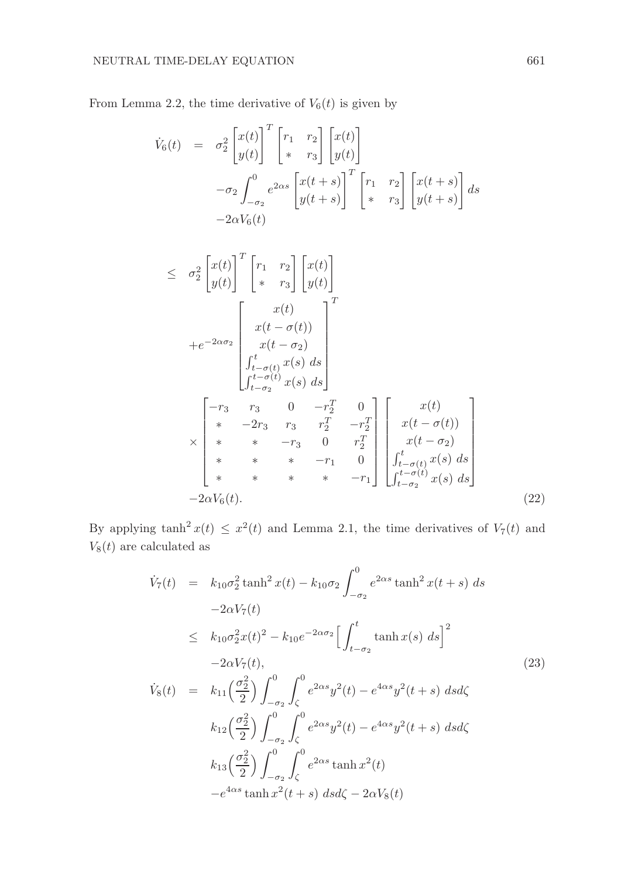From Lemma 2.2, the time derivative of  $V_6(t)$  is given by

$$
\dot{V}_6(t) = \sigma_2^2 \begin{bmatrix} x(t) \\ y(t) \end{bmatrix}^T \begin{bmatrix} r_1 & r_2 \\ * & r_3 \end{bmatrix} \begin{bmatrix} x(t) \\ y(t) \end{bmatrix}
$$

$$
-\sigma_2 \int_{-\sigma_2}^0 e^{2\alpha s} \begin{bmatrix} x(t+s) \\ y(t+s) \end{bmatrix}^T \begin{bmatrix} r_1 & r_2 \\ * & r_3 \end{bmatrix} \begin{bmatrix} x(t+s) \\ y(t+s) \end{bmatrix} ds
$$

$$
-2\alpha V_6(t)
$$

$$
\leq \sigma_2^2 \begin{bmatrix} x(t) \\ y(t) \end{bmatrix}^T \begin{bmatrix} r_1 & r_2 \\ * & r_3 \end{bmatrix} \begin{bmatrix} x(t) \\ y(t) \end{bmatrix}
$$
  
+ $e^{-2\alpha\sigma_2} \begin{bmatrix} x(t) \\ x(t - \sigma(t)) \\ x(t - \sigma_2) \\ \int_{t - \sigma(t)}^t x(s) ds \end{bmatrix}^T$   

$$
\leq \begin{bmatrix} -r_3 & r_3 & 0 & -r_2^T & 0 \\ * & -2r_3 & r_3 & r_2^T & -r_2^T \\ * & * & -r_3 & 0 & r_2^T \\ * & * & * & -r_3 & 0 & r_2^T \\ * & * & * & -r_1 & 0 \\ * & * & * & * & -r_1 \end{bmatrix} \begin{bmatrix} x(t) \\ x(t - \sigma(t)) \\ x(t - \sigma_2) \\ \int_{t - \sigma(t)}^t x(s) ds \end{bmatrix}
$$
  
- $2\alpha V_6(t)$ . (22)

By applying  $\tanh^2 x(t) \leq x^2(t)$  and Lemma 2.1, the time derivatives of  $V_7(t)$  and  $V_8(t)$  are calculated as

$$
\dot{V}_7(t) = k_{10}\sigma_2^2 \tanh^2 x(t) - k_{10}\sigma_2 \int_{-\sigma_2}^0 e^{2\alpha s} \tanh^2 x(t+s) \, ds \n-2\alpha V_7(t) \n\leq k_{10}\sigma_2^2 x(t)^2 - k_{10}e^{-2\alpha \sigma_2} \Big[ \int_{t-\sigma_2}^t \tanh x(s) \, ds \Big]^2 \n-2\alpha V_7(t), \n\dot{V}_8(t) = k_{11} \Big( \frac{\sigma_2^2}{2} \Big) \int_{-\sigma_2}^0 \int_{\zeta}^0 e^{2\alpha s} y^2(t) - e^{4\alpha s} y^2(t+s) \, ds d\zeta \n k_{12} \Big( \frac{\sigma_2^2}{2} \Big) \int_{-\sigma_2}^0 \int_{\zeta}^0 e^{2\alpha s} y^2(t) - e^{4\alpha s} y^2(t+s) \, ds d\zeta \n k_{13} \Big( \frac{\sigma_2^2}{2} \Big) \int_{-\sigma_2}^0 \int_{\zeta}^0 e^{2\alpha s} \tanh x^2(t) \n-e^{4\alpha s} \tanh x^2(t+s) \, ds d\zeta - 2\alpha V_8(t)
$$
\n(23)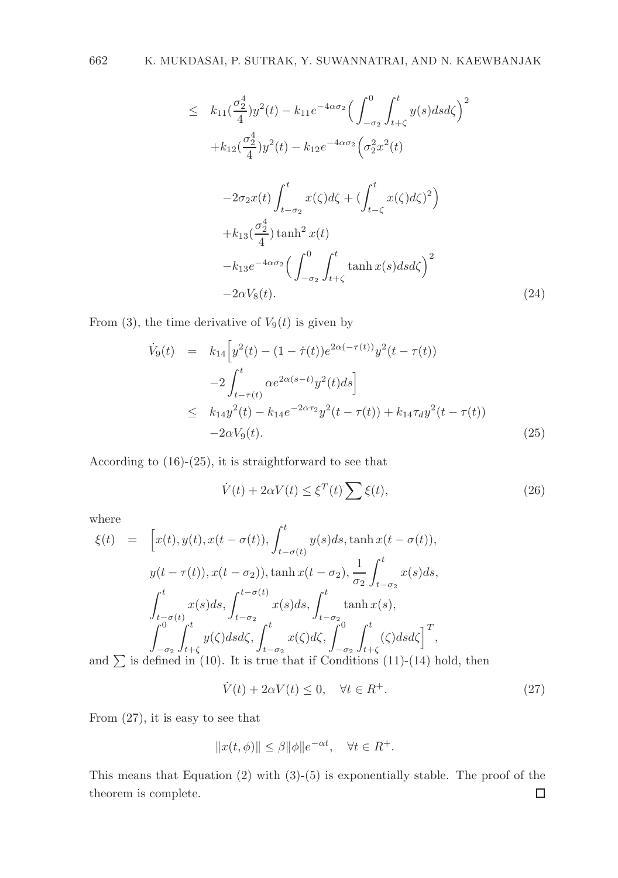$$
\leq k_{11} \left(\frac{\sigma_{2}^{4}}{4}\right) y^{2}(t) - k_{11} e^{-4\alpha \sigma_{2}} \left(\int_{-\sigma_{2}}^{0} \int_{t+\zeta}^{t} y(s) ds d\zeta\right)^{2}
$$
  
+  $k_{12} \left(\frac{\sigma_{2}^{4}}{4}\right) y^{2}(t) - k_{12} e^{-4\alpha \sigma_{2}} \left(\sigma_{2}^{2} x^{2}(t)\right)$   
-  $2\sigma_{2} x(t) \int_{t-\sigma_{2}}^{t} x(\zeta) d\zeta + \left(\int_{t-\zeta}^{t} x(\zeta) d\zeta\right)^{2}$   
+  $k_{13} \left(\frac{\sigma_{2}^{4}}{4}\right) \tanh^{2} x(t)$   
-  $k_{13} e^{-4\alpha \sigma_{2}} \left(\int_{-\sigma_{2}}^{0} \int_{t+\zeta}^{t} \tanh x(s) ds d\zeta\right)^{2}$   
-  $2\alpha V_{8}(t)$ . (24)

From (3), the time derivative of  $V_9(t)$  is given by

$$
\dot{V}_9(t) = k_{14} \Big[ y^2(t) - (1 - \dot{\tau}(t)) e^{2\alpha(-\tau(t))} y^2(t - \tau(t)) - 2 \int_{t - \tau(t)}^t \alpha e^{2\alpha(s-t)} y^2(t) ds \Big] \leq k_{14} y^2(t) - k_{14} e^{-2\alpha\tau_2} y^2(t - \tau(t)) + k_{14} \tau_{d} y^2(t - \tau(t)) - 2\alpha V_9(t).
$$
\n(25)

According to (16)-(25), it is straightforward to see that

$$
\dot{V}(t) + 2\alpha V(t) \le \xi^{T}(t) \sum \xi(t),\tag{26}
$$

where

$$
\xi(t) = \left[x(t), y(t), x(t - \sigma(t)), \int_{t - \sigma(t)}^{t} y(s)ds, \tanh x(t - \sigma(t)),\right]
$$
  
\n
$$
y(t - \tau(t)), x(t - \sigma_2), \tanh x(t - \sigma_2), \frac{1}{\sigma_2} \int_{t - \sigma_2}^{t} x(s)ds,
$$
  
\n
$$
\int_{t - \sigma(t)}^{t} x(s)ds, \int_{t - \sigma_2}^{t - \sigma(t)} x(s)ds, \int_{t - \sigma_2}^{t} \tanh x(s),
$$
  
\n
$$
\int_{-\sigma_2}^{0} \int_{t + \zeta}^{t} y(\zeta)dsd\zeta, \int_{t - \sigma_2}^{t} x(\zeta)d\zeta, \int_{-\sigma_2}^{0} \int_{t + \zeta}^{t} (\zeta)dsd\zeta\right]^{T},
$$
  
\nand  $\sum$  is defined in (10). It is true that if Conditions (11)-(14) hold, then

$$
\dot{V}(t) + 2\alpha V(t) \le 0, \quad \forall t \in R^+.
$$
\n
$$
(27)
$$

From (27), it is easy to see that

$$
||x(t,\phi)|| \leq \beta ||\phi||e^{-\alpha t}, \quad \forall t \in R^+.
$$

This means that Equation (2) with (3)-(5) is exponentially stable. The proof of the theorem is complete. $\Box$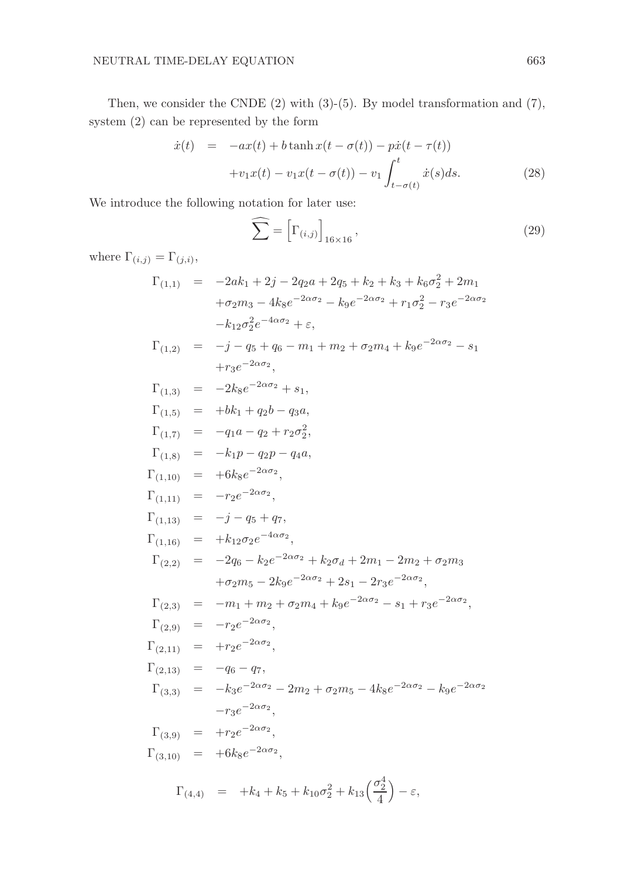Then, we consider the CNDE  $(2)$  with  $(3)-(5)$ . By model transformation and  $(7)$ , system (2) can be represented by the form

$$
\dot{x}(t) = -ax(t) + b \tanh x(t - \sigma(t)) - p\dot{x}(t - \tau(t)) \n+ v_1 x(t) - v_1 x(t - \sigma(t)) - v_1 \int_{t - \sigma(t)}^{t} \dot{x}(s) ds.
$$
\n(28)

We introduce the following notation for later use:

$$
\widehat{\sum} = \left[ \Gamma_{(i,j)} \right]_{16 \times 16},\tag{29}
$$

where  $\Gamma_{(i,j)} = \Gamma_{(j,i)}$ ,

$$
\Gamma_{(1,1)} = -2ak_1 + 2j - 2q_2a + 2q_5 + k_2 + k_3 + k_6\sigma_2^2 + 2m_1
$$
  
\n
$$
+ \sigma_2m_3 - 4k_8e^{-2\alpha\sigma_2} - k_9e^{-2\alpha\sigma_2} + r_1\sigma_2^2 - r_3e^{-2\alpha\sigma_2}
$$
  
\n
$$
-k_{12}\sigma_2^2e^{-4\alpha\sigma_2} + \varepsilon,
$$
  
\n
$$
\Gamma_{(1,2)} = -j - q_5 + q_6 - m_1 + m_2 + \sigma_2m_4 + k_9e^{-2\alpha\sigma_2} - s_1
$$
  
\n
$$
+r_3e^{-2\alpha\sigma_2},
$$
  
\n
$$
\Gamma_{(1,3)} = -2k_8e^{-2\alpha\sigma_2} + s_1,
$$
  
\n
$$
\Gamma_{(1,5)} = +bk_1 + q_2b - q_3a,
$$
  
\n
$$
\Gamma_{(1,7)} = -q_1a - q_2 + r_2\sigma_2^2,
$$
  
\n
$$
\Gamma_{(1,8)} = -k_1p - q_2p - q_4a,
$$
  
\n
$$
\Gamma_{(1,10)} = +6k_8e^{-2\alpha\sigma_2},
$$
  
\n
$$
\Gamma_{(1,11)} = -r_2e^{-2\alpha\sigma_2},
$$
  
\n
$$
\Gamma_{(1,12)} = -j - q_5 + q_7,
$$
  
\n
$$
\Gamma_{(1,13)} = -j - q_5 + q_7,
$$
  
\n
$$
\Gamma_{(1,14)} = +k_{12}\sigma_2e^{-4\alpha\sigma_2},
$$
  
\n
$$
\Gamma_{(2,2)} = -2q_6 - k_2e^{-2\alpha\sigma_2} + k_2\sigma_d + 2m_1 - 2m_2 + \sigma_2m_3
$$
  
\n
$$
+ \sigma_2m_5 - 2k_9e^{-2\alpha\sigma_2} + 2s_1 - 2r_3e^{-2\alpha\sigma_2},
$$
  
\n
$$
\Gamma_{(2,3)} = -m_1 + m_2 + \sigma_2m_4 + k_9e^{-2\alpha\sigma_2} - s_1 + r_3e^{-
$$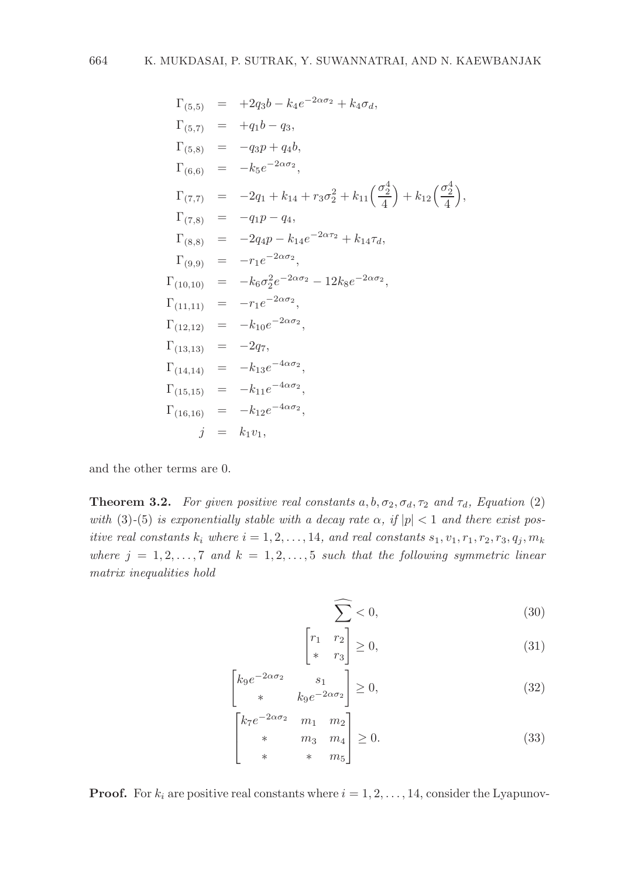$$
\Gamma_{(5,5)} = +2q_3b - k_4e^{-2\alpha\sigma_2} + k_4\sigma_d,
$$
\n
$$
\Gamma_{(5,7)} = +q_1b - q_3,
$$
\n
$$
\Gamma_{(5,8)} = -q_3p + q_4b,
$$
\n
$$
\Gamma_{(6,6)} = -k_5e^{-2\alpha\sigma_2},
$$
\n
$$
\Gamma_{(7,7)} = -2q_1 + k_{14} + r_3\sigma_2^2 + k_{11}\left(\frac{\sigma_2^4}{4}\right) + k_{12}\left(\frac{\sigma_2^4}{4}\right),
$$
\n
$$
\Gamma_{(7,8)} = -q_1p - q_4,
$$
\n
$$
\Gamma_{(8,8)} = -2q_4p - k_{14}e^{-2\alpha\tau_2} + k_{14}\tau_d,
$$
\n
$$
\Gamma_{(9,9)} = -r_1e^{-2\alpha\sigma_2},
$$
\n
$$
\Gamma_{(10,10)} = -k_6\sigma_2^2e^{-2\alpha\sigma_2} - 12k_8e^{-2\alpha\sigma_2},
$$
\n
$$
\Gamma_{(11,11)} = -r_1e^{-2\alpha\sigma_2},
$$
\n
$$
\Gamma_{(12,12)} = -k_{10}e^{-2\alpha\sigma_2},
$$
\n
$$
\Gamma_{(12,12)} = -k_{10}e^{-2\alpha\sigma_2},
$$
\n
$$
\Gamma_{(13,13)} = -2q_7,
$$
\n
$$
\Gamma_{(14,14)} = -k_{13}e^{-4\alpha\sigma_2},
$$
\n
$$
\Gamma_{(16,16)} = -k_{12}e^{-4\alpha\sigma_2},
$$
\n
$$
j = k_1v_1,
$$

and the other terms are 0.

**Theorem 3.2.** For given positive real constants  $a, b, \sigma_2, \sigma_d, \tau_2$  and  $\tau_d$ , Equation (2) with (3)-(5) is exponentially stable with a decay rate  $\alpha$ , if  $|p| < 1$  and there exist positive real constants  $k_i$  where  $i = 1, 2, \ldots, 14$ , and real constants  $s_1, v_1, r_1, r_2, r_3, q_i, m_k$ where  $j = 1, 2, ..., 7$  and  $k = 1, 2, ..., 5$  such that the following symmetric linear matrix inequalities hold

$$
\widehat{\sum_{n}} < 0,\tag{30}
$$

$$
\begin{bmatrix} r_1 & r_2 \\ * & r_3 \end{bmatrix} \ge 0,
$$
\n(31)

$$
\begin{bmatrix} k_9 e^{-2\alpha \sigma_2} & s_1 \\ * & k_9 e^{-2\alpha \sigma_2} \end{bmatrix} \ge 0,\tag{32}
$$

$$
\begin{bmatrix} k_7 e^{-2\alpha \sigma_2} & m_1 & m_2 \\ * & m_3 & m_4 \\ * & * & m_5 \end{bmatrix} \ge 0.
$$
 (33)

**Proof.** For  $k_i$  are positive real constants where  $i = 1, 2, ..., 14$ , consider the Lyapunov-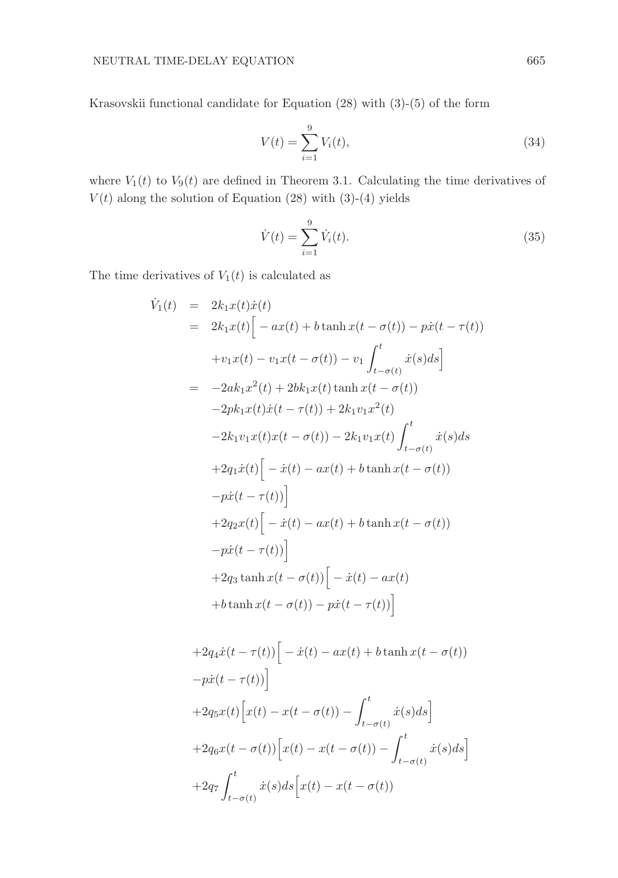Krasovskii functional candidate for Equation (28) with (3)-(5) of the form

$$
V(t) = \sum_{i=1}^{9} V_i(t),
$$
\n(34)

where  $V_1(t)$  to  $V_9(t)$  are defined in Theorem 3.1. Calculating the time derivatives of  $V(t)$  along the solution of Equation (28) with (3)-(4) yields

$$
\dot{V}(t) = \sum_{i=1}^{9} \dot{V}_i(t).
$$
\n(35)

The time derivatives of  $V_1(t)$  is calculated as

$$
\dot{V}_1(t) = 2k_1x(t)\dot{x}(t) \n= 2k_1x(t)\Big[-ax(t) + b \tanh x(t - \sigma(t)) - p\dot{x}(t - \tau(t)) \n+ v_1x(t) - v_1x(t - \sigma(t)) - v_1 \int_{t - \sigma(t)}^t \dot{x}(s)ds\Big] \n= -2ak_1x^2(t) + 2bk_1x(t)\tanh x(t - \sigma(t)) \n- 2pk_1x(t)\dot{x}(t - \tau(t)) + 2k_1v_1x^2(t) \n- 2k_1v_1x(t)x(t - \sigma(t)) - 2k_1v_1x(t)\int_{t - \sigma(t)}^t \dot{x}(s)ds \n+ 2q_1\dot{x}(t)\Big[-\dot{x}(t) - ax(t) + b \tanh x(t - \sigma(t)) \n- p\dot{x}(t - \tau(t))\Big] \n+ 2q_2x(t)\Big[-\dot{x}(t) - ax(t) + b \tanh x(t - \sigma(t)) \n- p\dot{x}(t - \tau(t))\Big] \n+ 2q_3 \tanh x(t - \sigma(t))\Big[-\dot{x}(t) - ax(t) \n+ b \tanh x(t - \sigma(t)) - p\dot{x}(t - \tau(t))\Big]
$$

$$
+2q_4\dot{x}(t-\tau(t))\Big[-\dot{x}(t)-ax(t)+b\tanh x(t-\sigma(t))
$$

$$
-p\dot{x}(t-\tau(t))\Big]
$$

$$
+2q_5x(t)\Big[x(t)-x(t-\sigma(t))-\int_{t-\sigma(t)}^t\dot{x}(s)ds\Big]
$$

$$
+2q_6x(t-\sigma(t))\Big[x(t)-x(t-\sigma(t))-\int_{t-\sigma(t)}^t\dot{x}(s)ds\Big]
$$

$$
+2q_7\int_{t-\sigma(t)}^t\dot{x}(s)ds\Big[x(t)-x(t-\sigma(t))
$$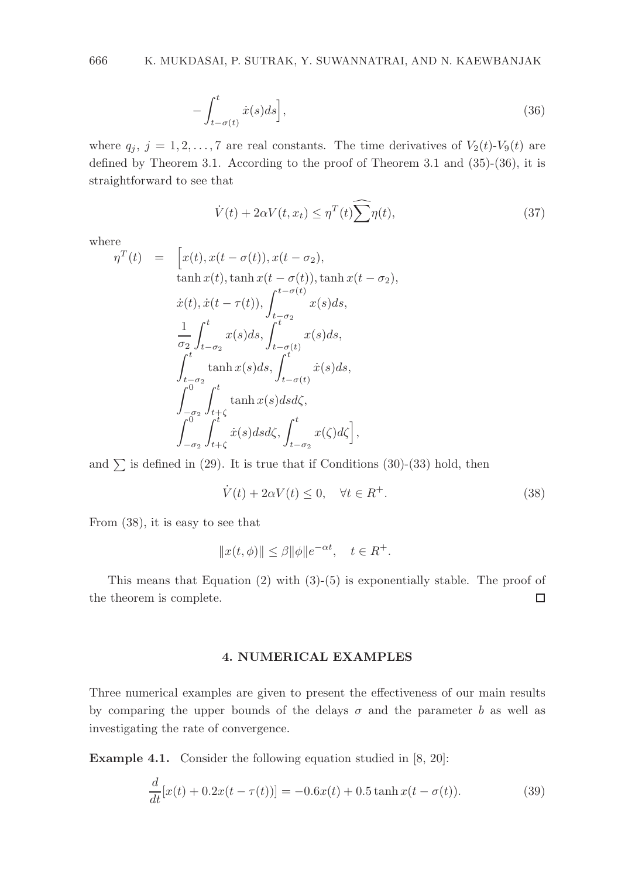$$
-\int_{t-\sigma(t)}^{t} \dot{x}(s)ds\Big],\tag{36}
$$

where  $q_i$ ,  $j = 1, 2, ..., 7$  are real constants. The time derivatives of  $V_2(t)$ - $V_9(t)$  are defined by Theorem 3.1. According to the proof of Theorem 3.1 and  $(35)-(36)$ , it is straightforward to see that

$$
\dot{V}(t) + 2\alpha V(t, x_t) \le \eta^T(t) \widehat{\sum} \eta(t),\tag{37}
$$

where

$$
m^T(t) = \left[x(t), x(t - \sigma(t)), x(t - \sigma_2), \atop \tanh x(t), \tanh x(t - \sigma(t)), \tanh x(t - \sigma_2),\right.
$$
  
\n
$$
\dot{x}(t), \dot{x}(t - \tau(t)), \int_{t - \sigma(t)}^{t - \sigma(t)} x(s)ds,
$$
  
\n
$$
\frac{1}{\sigma_2} \int_{t - \sigma_2}^t x(s)ds, \int_{t - \sigma(t)}^t x(s)ds,
$$
  
\n
$$
\int_{t - \sigma_2}^t \tanh x(s)ds, \int_{t - \sigma(t)}^t \dot{x}(s)ds,
$$
  
\n
$$
\int_{-\sigma_2}^{0} \int_{t + \zeta}^t \tanh x(s)dsd\zeta,
$$
  
\n
$$
\int_{-\sigma_2}^0 \int_{t + \zeta}^t \dot{x}(s)dsd\zeta, \int_{t - \sigma_2}^t x(\zeta)d\zeta\right],
$$

and  $\Sigma$  is defined in (29). It is true that if Conditions (30)-(33) hold, then

$$
\dot{V}(t) + 2\alpha V(t) \le 0, \quad \forall t \in R^{+}.
$$
\n(38)

From (38), it is easy to see that

$$
||x(t,\phi)|| \le \beta ||\phi||e^{-\alpha t}, \quad t \in R^+.
$$

This means that Equation  $(2)$  with  $(3)-(5)$  is exponentially stable. The proof of the theorem is complete.  $\Box$ 

# 4. NUMERICAL EXAMPLES

Three numerical examples are given to present the effectiveness of our main results by comparing the upper bounds of the delays  $\sigma$  and the parameter b as well as investigating the rate of convergence.

Example 4.1. Consider the following equation studied in [8, 20]:

$$
\frac{d}{dt}[x(t) + 0.2x(t - \tau(t))] = -0.6x(t) + 0.5\tanh x(t - \sigma(t)).
$$
\n(39)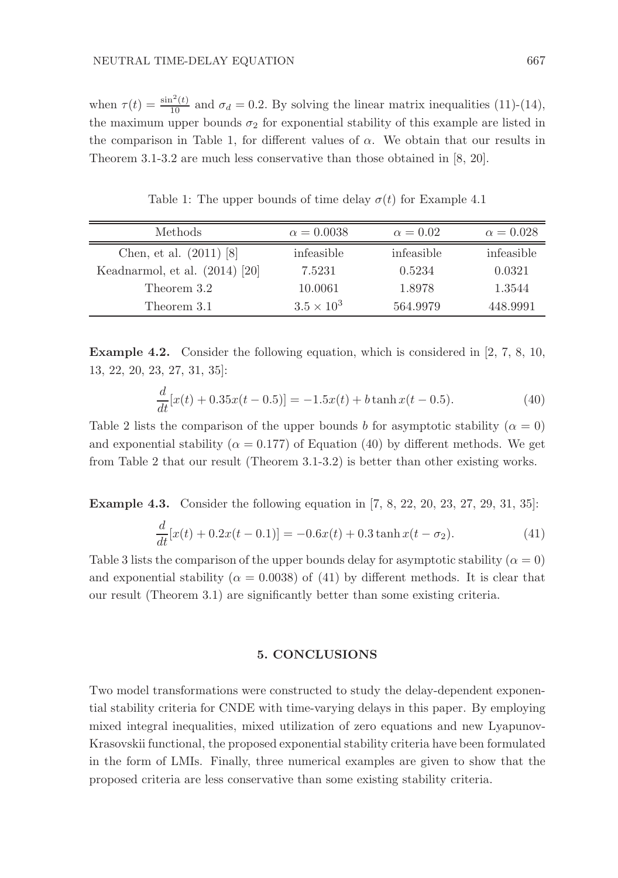when  $\tau(t) = \frac{\sin^2(t)}{10}$  and  $\sigma_d = 0.2$ . By solving the linear matrix inequalities (11)-(14), the maximum upper bounds  $\sigma_2$  for exponential stability of this example are listed in the comparison in Table 1, for different values of  $\alpha$ . We obtain that our results in Theorem 3.1-3.2 are much less conservative than those obtained in [8, 20].

| <b>Methods</b>                   | $\alpha = 0.0038$   | $\alpha = 0.02$ | $\alpha = 0.028$ |
|----------------------------------|---------------------|-----------------|------------------|
| Chen, et al. $(2011)$ [8]        | infeasible          | infeasible      | infeasible       |
| Keadnarmol, et al. $(2014)$ [20] | 7.5231              | 0.5234          | 0.0321           |
| Theorem 3.2                      | 10.0061             | 1.8978          | 1.3544           |
| Theorem 3.1                      | $3.5 \times 10^{3}$ | 564.9979        | 448.9991         |

Table 1: The upper bounds of time delay  $\sigma(t)$  for Example 4.1

Example 4.2. Consider the following equation, which is considered in [2, 7, 8, 10, 13, 22, 20, 23, 27, 31, 35]:

$$
\frac{d}{dt}[x(t) + 0.35x(t - 0.5)] = -1.5x(t) + b \tanh x(t - 0.5). \tag{40}
$$

Table 2 lists the comparison of the upper bounds b for asymptotic stability ( $\alpha = 0$ ) and exponential stability ( $\alpha = 0.177$ ) of Equation (40) by different methods. We get from Table 2 that our result (Theorem 3.1-3.2) is better than other existing works.

**Example 4.3.** Consider the following equation in [7, 8, 22, 20, 23, 27, 29, 31, 35]:

$$
\frac{d}{dt}[x(t) + 0.2x(t - 0.1)] = -0.6x(t) + 0.3\tanh x(t - \sigma_2).
$$
\n(41)

Table 3 lists the comparison of the upper bounds delay for asymptotic stability ( $\alpha = 0$ ) and exponential stability ( $\alpha = 0.0038$ ) of (41) by different methods. It is clear that our result (Theorem 3.1) are significantly better than some existing criteria.

## 5. CONCLUSIONS

Two model transformations were constructed to study the delay-dependent exponential stability criteria for CNDE with time-varying delays in this paper. By employing mixed integral inequalities, mixed utilization of zero equations and new Lyapunov-Krasovskii functional, the proposed exponential stability criteria have been formulated in the form of LMIs. Finally, three numerical examples are given to show that the proposed criteria are less conservative than some existing stability criteria.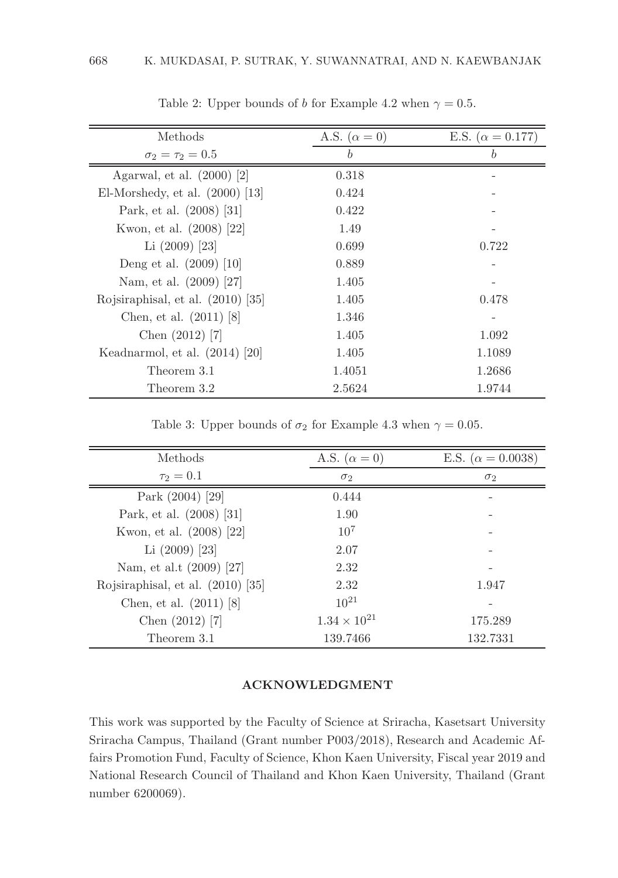| Methods                           | A.S. $(\alpha = 0)$ | E.S. ( $\alpha = 0.177$ ) |
|-----------------------------------|---------------------|---------------------------|
| $\sigma_2 = \tau_2 = 0.5$         | $\boldsymbol{b}$    | $\boldsymbol{b}$          |
| Agarwal, et al. $(2000)$ [2]      | 0.318               |                           |
| El-Morshedy, et al. $(2000)$ [13] | 0.424               |                           |
| Park, et al. (2008) [31]          | 0.422               |                           |
| Kwon, et al. (2008) [22]          | 1.49                |                           |
| Li $(2009)$ [23]                  | 0.699               | 0.722                     |
| Deng et al. $(2009)$ [10]         | 0.889               |                           |
| Nam, et al. (2009) [27]           | 1.405               |                           |
| Rojsiraphisal, et al. (2010) [35] | 1.405               | 0.478                     |
| Chen, et al. $(2011)$ [8]         | 1.346               |                           |
| Chen $(2012)$ [7]                 | 1.405               | 1.092                     |
| Keadnarmol, et al. $(2014)$ [20]  | 1.405               | 1.1089                    |
| Theorem 3.1                       | 1.4051              | 1.2686                    |
| Theorem 3.2                       | 2.5624              | 1.9744                    |

Table 2: Upper bounds of b for Example 4.2 when  $\gamma = 0.5$ .

Table 3: Upper bounds of  $\sigma_2$  for Example 4.3 when  $\gamma = 0.05$ .

| Methods                           | A.S. $(\alpha = 0)$   | E.S. ( $\alpha = 0.0038$ ) |
|-----------------------------------|-----------------------|----------------------------|
| $\tau_2 = 0.1$                    | $\sigma_2$            | $\sigma_2$                 |
| Park $(2004)$ [29]                | 0.444                 |                            |
| Park, et al. (2008) [31]          | 1.90                  |                            |
| Kwon, et al. (2008) [22]          | 10 <sup>7</sup>       |                            |
| Li $(2009)$ [23]                  | 2.07                  |                            |
| Nam, et al.t (2009) [27]          | 2.32                  |                            |
| Rojsiraphisal, et al. (2010) [35] | 2.32                  | 1.947                      |
| Chen, et al. $(2011)$ [8]         | $10^{21}$             |                            |
| Chen $(2012)$ [7]                 | $1.34 \times 10^{21}$ | 175.289                    |
| Theorem 3.1                       | 139.7466              | 132.7331                   |

## ACKNOWLEDGMENT

This work was supported by the Faculty of Science at Sriracha, Kasetsart University Sriracha Campus, Thailand (Grant number P003/2018), Research and Academic Affairs Promotion Fund, Faculty of Science, Khon Kaen University, Fiscal year 2019 and National Research Council of Thailand and Khon Kaen University, Thailand (Grant number 6200069).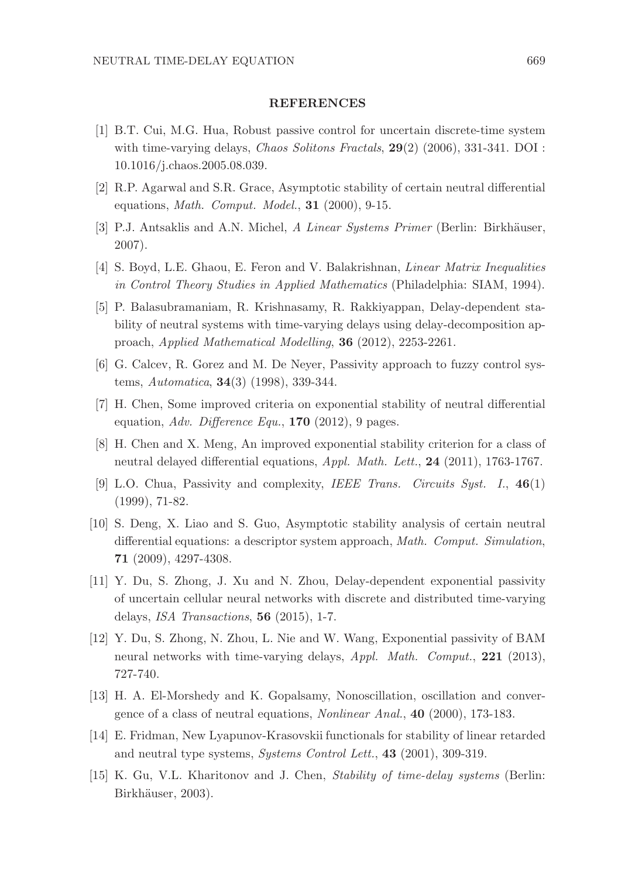### REFERENCES

- [1] B.T. Cui, M.G. Hua, Robust passive control for uncertain discrete-time system with time-varying delays, *Chaos Solitons Fractals*,  $29(2)$  (2006), 331-341. DOI : 10.1016/j.chaos.2005.08.039.
- [2] R.P. Agarwal and S.R. Grace, Asymptotic stability of certain neutral differential equations, *Math. Comput. Model.*,  $31$  (2000), 9-15.
- [3] P.J. Antsaklis and A.N. Michel, A Linear Systems Primer (Berlin: Birkhäuser, 2007).
- [4] S. Boyd, L.E. Ghaou, E. Feron and V. Balakrishnan, Linear Matrix Inequalities in Control Theory Studies in Applied Mathematics (Philadelphia: SIAM, 1994).
- [5] P. Balasubramaniam, R. Krishnasamy, R. Rakkiyappan, Delay-dependent stability of neutral systems with time-varying delays using delay-decomposition approach, Applied Mathematical Modelling, 36 (2012), 2253-2261.
- [6] G. Calcev, R. Gorez and M. De Neyer, Passivity approach to fuzzy control systems, Automatica, 34(3) (1998), 339-344.
- [7] H. Chen, Some improved criteria on exponential stability of neutral differential equation, Adv. Difference Equ.,  $170$  (2012), 9 pages.
- [8] H. Chen and X. Meng, An improved exponential stability criterion for a class of neutral delayed differential equations, Appl. Math. Lett., 24 (2011), 1763-1767.
- [9] L.O. Chua, Passivity and complexity, IEEE Trans. Circuits Syst. I., 46(1) (1999), 71-82.
- [10] S. Deng, X. Liao and S. Guo, Asymptotic stability analysis of certain neutral differential equations: a descriptor system approach, Math. Comput. Simulation, 71 (2009), 4297-4308.
- [11] Y. Du, S. Zhong, J. Xu and N. Zhou, Delay-dependent exponential passivity of uncertain cellular neural networks with discrete and distributed time-varying delays, ISA Transactions, 56 (2015), 1-7.
- [12] Y. Du, S. Zhong, N. Zhou, L. Nie and W. Wang, Exponential passivity of BAM neural networks with time-varying delays, Appl. Math. Comput., 221 (2013), 727-740.
- [13] H. A. El-Morshedy and K. Gopalsamy, Nonoscillation, oscillation and convergence of a class of neutral equations, Nonlinear Anal., 40 (2000), 173-183.
- [14] E. Fridman, New Lyapunov-Krasovskii functionals for stability of linear retarded and neutral type systems, Systems Control Lett., 43 (2001), 309-319.
- [15] K. Gu, V.L. Kharitonov and J. Chen, Stability of time-delay systems (Berlin: Birkhäuser, 2003).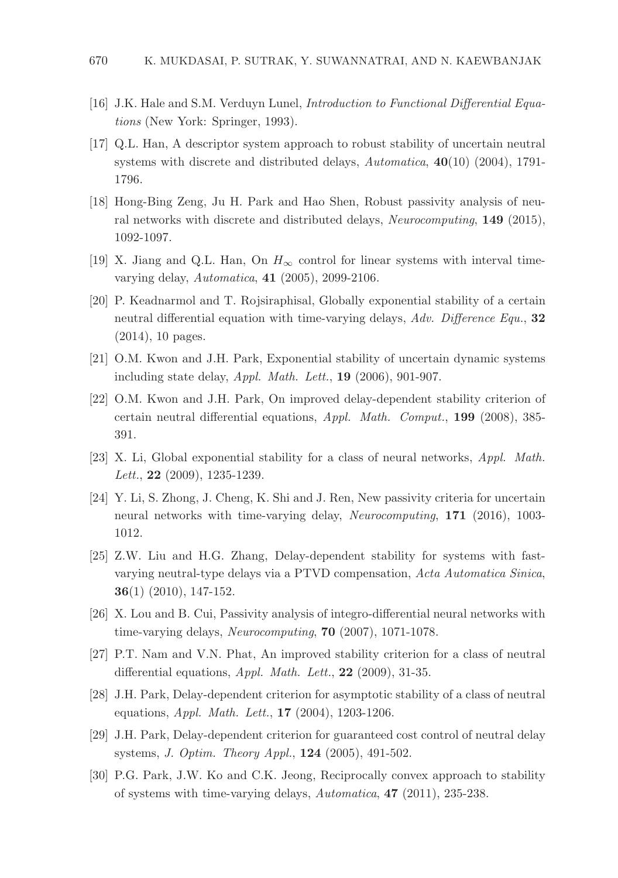- [16] J.K. Hale and S.M. Verduyn Lunel, Introduction to Functional Differential Equations (New York: Springer, 1993).
- [17] Q.L. Han, A descriptor system approach to robust stability of uncertain neutral systems with discrete and distributed delays, Automatica, 40(10) (2004), 1791-1796.
- [18] Hong-Bing Zeng, Ju H. Park and Hao Shen, Robust passivity analysis of neural networks with discrete and distributed delays, Neurocomputing, 149 (2015), 1092-1097.
- [19] X. Jiang and Q.L. Han, On  $H_{\infty}$  control for linear systems with interval timevarying delay, Automatica, 41 (2005), 2099-2106.
- [20] P. Keadnarmol and T. Rojsiraphisal, Globally exponential stability of a certain neutral differential equation with time-varying delays, Adv. Difference Equ., 32 (2014), 10 pages.
- [21] O.M. Kwon and J.H. Park, Exponential stability of uncertain dynamic systems including state delay, Appl. Math. Lett., 19 (2006), 901-907.
- [22] O.M. Kwon and J.H. Park, On improved delay-dependent stability criterion of certain neutral differential equations, Appl. Math. Comput., 199 (2008), 385- 391.
- [23] X. Li, Global exponential stability for a class of neural networks, Appl. Math. Lett., **22** (2009), 1235-1239.
- [24] Y. Li, S. Zhong, J. Cheng, K. Shi and J. Ren, New passivity criteria for uncertain neural networks with time-varying delay, Neurocomputing, 171 (2016), 1003- 1012.
- [25] Z.W. Liu and H.G. Zhang, Delay-dependent stability for systems with fastvarying neutral-type delays via a PTVD compensation, Acta Automatica Sinica, 36(1) (2010), 147-152.
- [26] X. Lou and B. Cui, Passivity analysis of integro-differential neural networks with time-varying delays, Neurocomputing, 70 (2007), 1071-1078.
- [27] P.T. Nam and V.N. Phat, An improved stability criterion for a class of neutral differential equations,  $Appl. Math. Let t., 22 (2009), 31-35.$
- [28] J.H. Park, Delay-dependent criterion for asymptotic stability of a class of neutral equations, Appl. Math. Lett., 17 (2004), 1203-1206.
- [29] J.H. Park, Delay-dependent criterion for guaranteed cost control of neutral delay systems, J. Optim. Theory Appl., 124 (2005), 491-502.
- [30] P.G. Park, J.W. Ko and C.K. Jeong, Reciprocally convex approach to stability of systems with time-varying delays, Automatica, 47 (2011), 235-238.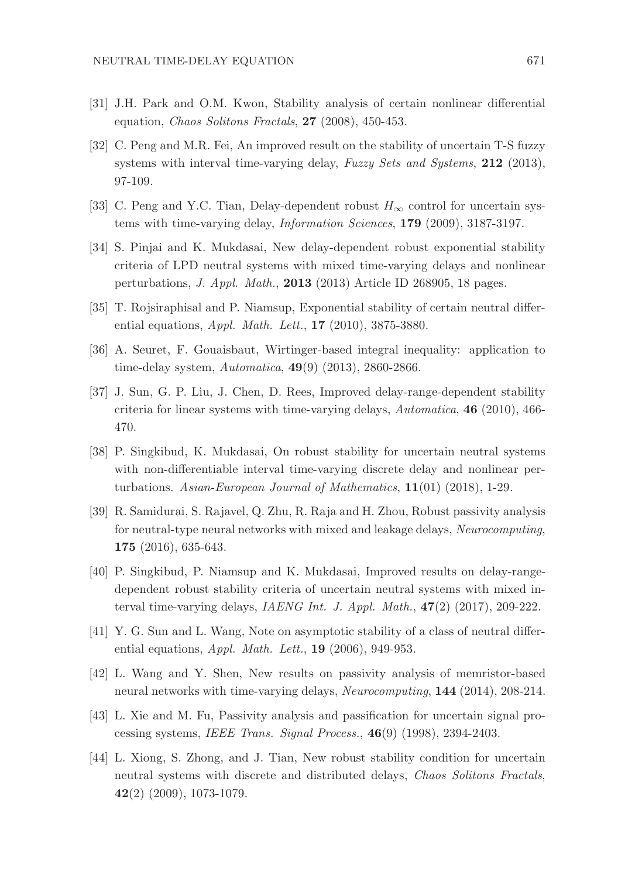- [31] J.H. Park and O.M. Kwon, Stability analysis of certain nonlinear differential equation, Chaos Solitons Fractals, 27 (2008), 450-453.
- [32] C. Peng and M.R. Fei, An improved result on the stability of uncertain T-S fuzzy systems with interval time-varying delay, Fuzzy Sets and Systems, 212 (2013), 97-109.
- [33] C. Peng and Y.C. Tian, Delay-dependent robust  $H_{\infty}$  control for uncertain systems with time-varying delay, Information Sciences, 179 (2009), 3187-3197.
- [34] S. Pinjai and K. Mukdasai, New delay-dependent robust exponential stability criteria of LPD neutral systems with mixed time-varying delays and nonlinear perturbations, J. Appl. Math., 2013 (2013) Article ID 268905, 18 pages.
- [35] T. Rojsiraphisal and P. Niamsup, Exponential stability of certain neutral differential equations, *Appl. Math. Lett.*, **17** (2010), 3875-3880.
- [36] A. Seuret, F. Gouaisbaut, Wirtinger-based integral inequality: application to time-delay system, Automatica, 49(9) (2013), 2860-2866.
- [37] J. Sun, G. P. Liu, J. Chen, D. Rees, Improved delay-range-dependent stability criteria for linear systems with time-varying delays,  $Automatica$ , **46** (2010), 466-470.
- [38] P. Singkibud, K. Mukdasai, On robust stability for uncertain neutral systems with non-differentiable interval time-varying discrete delay and nonlinear perturbations. Asian-European Journal of Mathematics, 11(01) (2018), 1-29.
- [39] R. Samidurai, S. Rajavel, Q. Zhu, R. Raja and H. Zhou, Robust passivity analysis for neutral-type neural networks with mixed and leakage delays, Neurocomputing, 175 (2016), 635-643.
- [40] P. Singkibud, P. Niamsup and K. Mukdasai, Improved results on delay-rangedependent robust stability criteria of uncertain neutral systems with mixed interval time-varying delays, IAENG Int. J. Appl. Math.,  $47(2)$  (2017), 209-222.
- [41] Y. G. Sun and L. Wang, Note on asymptotic stability of a class of neutral differential equations,  $Appl. Math. Let t.$ , 19 (2006), 949-953.
- [42] L. Wang and Y. Shen, New results on passivity analysis of memristor-based neural networks with time-varying delays, Neurocomputing, 144 (2014), 208-214.
- [43] L. Xie and M. Fu, Passivity analysis and passification for uncertain signal processing systems, IEEE Trans. Signal Process., 46(9) (1998), 2394-2403.
- [44] L. Xiong, S. Zhong, and J. Tian, New robust stability condition for uncertain neutral systems with discrete and distributed delays, Chaos Solitons Fractals, 42(2) (2009), 1073-1079.